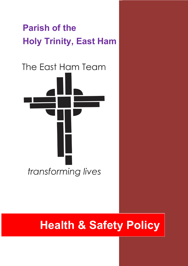# **Parish of the Holy Trinity, East Ham**

# The East Ham Team transforming lives

# **Health & Safety Policy**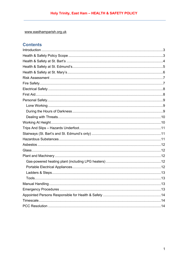www.easthamparish.org.uk

# **Contents**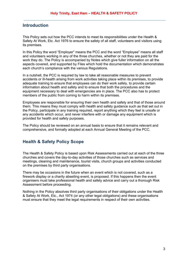#### **Introduction**

This Policy sets out how the PCC intends to meet its responsibilities under the Health & Safety At Work, Etc. Act 1976 to ensure the safety of all staff, volunteers and visitors using its premises.

In this Policy the word "Employer" means the PCC and the word "Employee" means all staff and volunteers working in any of the three churches, whether or not they are paid for the work they do. The Policy is accompanied by Notes which give fuller information on all the aspects covered, and supported by Files which hold the documentation which demonstrates each church's compliance with the various Regulations.

In a nutshell, the PCC is required by law to take all reasonable measures to prevent accidents or ill-health arising from work activities taking place within its premises, to provide adequate training to ensure that employees can do their work safely, to provide certain information about health and safety and to ensure that both the procedures and the equipment necessary to deal with emergencies are in place. The PCC also has to protect members of the public from coming to harm within its premises.

Employees are responsible for ensuring their own health and safety and that of those around them. This means they must comply with health and safety guidance such as that set out in the Policy, participate in any training required, report anything which they feel is unsafe or any accidents which occur, and never interfere with or damage any equipment which is provided for health and safety purposes.

The Policy should be reviewed on an annual basis to ensure that it remains relevant and comprehensive, and formally adopted at each Annual General Meeting of the PCC.

# **Health & Safety Policy Scope**

The Health & Safety Policy is based upon Risk Assessments carried out at each of the three churches and covers the day-to-day activities of those churches such as services and meetings, cleaning and maintenance, tourist visits, church groups and activities conducted on the premises by third party organisations.

There may be occasions in the future when an event which is not covered, such as a firework display or a charity abseiling event, is proposed. If this happens then the event organisers must take professional health and safety advice and carry out a thorough Risk Assessment before proceeding.

Nothing in the Policy absolves third party organisations of their obligations under the Health & Safety At Work, Etc., Act 1974 (or any other legal obligations) and these organisations must ensure that they meet the legal requirements in respect of their own activities.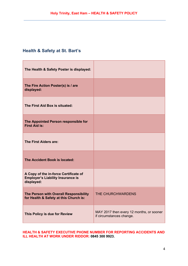# **Health & Safety at St. Bart's**

| The Health & Safety Poster is displayed:                                                        |                                                                      |
|-------------------------------------------------------------------------------------------------|----------------------------------------------------------------------|
| The Fire Action Poster(s) is / are<br>displayed:                                                |                                                                      |
| The First Aid Box is situated:                                                                  |                                                                      |
| The Appointed Person responsible for<br><b>First Aid is:</b>                                    |                                                                      |
| The First Aiders are:                                                                           |                                                                      |
| The Accident Book is located:                                                                   |                                                                      |
| A Copy of the in-force Certificate of<br><b>Employer's Liability Insurance is</b><br>displayed: |                                                                      |
| The Person with Overall Responsibility<br>for Health & Safety at this Church is:                | THE CHURCHWARDENS                                                    |
| This Policy is due for Review                                                                   | MAY 2017 then every 12 months, or sooner<br>if circumstances change. |

#### **HEALTH & SAFETY EXECUTIVE PHONE NUMBER FOR REPORTING ACCIDENTS AND ILL HEALTH AT WORK UNDER RIDDOR: 0845 300 9923.**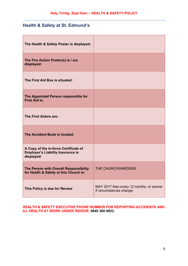# **Health & Safety at St. Edmund's**

| The Health & Safety Poster is displayed:                                                        |                                                                      |
|-------------------------------------------------------------------------------------------------|----------------------------------------------------------------------|
| The Fire Action Poster(s) is / are<br>displayed:                                                |                                                                      |
| The First Aid Box is situated:                                                                  |                                                                      |
| The Appointed Person responsible for<br><b>First Aid is:</b>                                    |                                                                      |
| The First Aiders are:                                                                           |                                                                      |
| The Accident Book is located:                                                                   |                                                                      |
| A Copy of the in-force Certificate of<br><b>Employer's Liability Insurance is</b><br>displayed: |                                                                      |
| The Person with Overall Responsibility<br>for Health & Safety at this Church is:                | THE CHURCHWARDENS                                                    |
| This Policy is due for Review                                                                   | MAY 2017 then every 12 months, or sooner<br>if circumstances change. |

#### **HEALTH & SAFETY EXECUTIVE PHONE NUMBER FOR REPORTING ACCIDENTS AND ILL HEALTH AT WORK UNDER RIDDOR: 0845 300 9923.**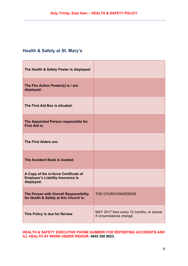# **Health & Safety at St. Mary's**

| The Health & Safety Poster is displayed:                                                        |                                                                      |
|-------------------------------------------------------------------------------------------------|----------------------------------------------------------------------|
| The Fire Action Poster(s) is / are<br>displayed:                                                |                                                                      |
| The First Aid Box is situated:                                                                  |                                                                      |
| The Appointed Person responsible for<br><b>First Aid is:</b>                                    |                                                                      |
| The First Aiders are:                                                                           |                                                                      |
| The Accident Book is located:                                                                   |                                                                      |
| A Copy of the in-force Certificate of<br><b>Employer's Liability Insurance is</b><br>displayed: |                                                                      |
| The Person with Overall Responsibility<br>for Health & Safety at this Church is:                | THE CHURCHWARDENS                                                    |
| This Policy is due for Review                                                                   | MAY 2017 then every 12 months, or sooner<br>if circumstances change. |

#### **HEALTH & SAFETY EXECUTIVE PHONE NUMBER FOR REPORTING ACCIDENTS AND ILL HEALTH AT WORK UNDER RIDDOR: 0845 300 9923.**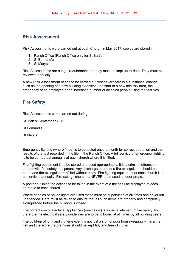# **Risk Assessment**

Risk Assessments were carried out at each Church in May 2017, copies are stored in:

- 1. Parish Office (Parish Office only for St Bart's
- 2. St Edmund's:
- 3. St Marys:

Risk Assessments are a legal requirement and they must be kept up-to-date. They must be reviewed annually.

A new Risk Assessment needs to be carried out whenever there is a substantial change such as the opening of a new building extension, the start of a new ministry area, the pregnancy of an employee or an increased number of disabled people using the facilities.

# **Fire Safety**

Risk Assessments were carried out during:

St. Bart's: September 2016

St Edmund's:

St Mary's:

Emergency lighting (where fitted) is to be tested once a month for correct operation and the results of the test recorded in the file in the Parish Office. A full service of emergency lighting is to be carried out annually at each church where it is fitted.

Fire fighting equipment is to be stored and used appropriately. It is a criminal offence to tamper with fire safety equipment. Any discharge or use of a fire extinguisher should be noted and the extinguisher refilled without delay. Fire fighting equipment at each church is to be serviced annually. Fire extinguishers are NEVER to be used as door props.

A poster outlining the actions to be taken in the event of a fire shall be displayed at each entrance to each church.

Where candles or naked lights are used these must be supervised at all times and never left unattended. Care must be taken to ensure that all such items are properly and completely extinguished before the building is closed.

The correct use of electrical appliances (see below) is a crucial element of fire safety and therefore the electrical safety guidelines are to be followed at all times by all building users.

The build-up of junk and clutter evident is not just a sign of poor housekeeping – it is a fire risk and therefore the premises should be kept tidy and free of clutter.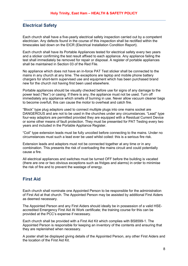# **Electrical Safety**

Each church shall have a five-yearly electrical safety inspection carried out by a competent electrician. Any defects found in the course of this inspection shall be rectified within the timescales laid down on the EICR (Electrical Installation Condition Report).

Each church shall have its Portable Appliances tested for electrical safety every two years and a sticker confirming the test result affixed to each appliance. Any appliance failing the test shall immediately be removed for repair or disposal. A register of portable appliances shall be maintained in Section 03 of the Red File.

No appliance which does not have an in-force PAT Test sticker shall be connected to the mains in any church at any time. The exceptions are laptop and mobile phone battery chargers for short-term supervised use and equipment which has been purchased brand new for the church not having first been used elsewhere.

Portable appliances should be visually checked before use for signs of any damage to the power lead ("flex") or casing. If there is any, the appliance must not be used. Turn off immediately any appliance which smells of burning in use. Never allow vacuum cleaner bags to become overfull, this can cause the motor to overheat and catch fire.

"Block" type plug adaptors used to connect multiple plugs into one mains socket are DANGEROUS and are not to be used in the churches under any circumstances. "Lead" type four-way adaptors are permitted provided they are equipped with a Residual Current Device or some other means of fault protection. They must be presented for PAT Testing every two years and included in the Portable Appliance Register.

"Coil" type extension leads must be fully uncoiled before connecting to the mains. Under no circumstances must such a lead ever be used whilst coiled: this is a serious fire risk.

Extension leads and adaptors must not be connected together at any time or in any combination. This presents the risk of overloading the mains circuit and could potentially cause a fire.

All electrical appliances and switches must be turned OFF before the building is vacated (there are one or two obvious exceptions such as fridges and alarms) in order to minimise the risk of fire and to prevent the wastage of energy.

# **First Aid**

Each church shall nominate one Appointed Person to be responsible for the administration of First Aid at that church. The Appointed Person may be assisted by additional First Aiders as deemed necessary.

The Appointed Person and any First Aiders should ideally be in possession of a valid HSEaccredited Emergency First Aid At Work certificate; the training course for this can be provided at the PCC's expense if necessary.

Each church shall be provided with a First Aid Kit which complies with BS8599-1. The Appointed Person is responsible for keeping an inventory of the contents and ensuring that they are replenished when necessary.

A poster shall be displayed giving details of the Appointed Person, any other First Aiders and the location of the First Aid Kit.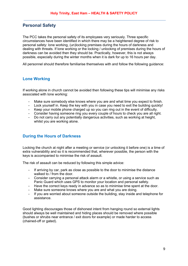# **Personal Safety**

The PCC takes the personal safety of its employees very seriously. Three specific circumstances have been identified in which there may be a heightened degree of risk to personal safety: lone working, (un)locking premises during the hours of darkness and dealing with threats. If lone working or the locking / unlocking of premises during the hours of darkness can be avoided then they should be. Practically, however, this is not always possible, especially during the winter months when it is dark for up to 16 hours per day.

All personnel should therefore familiarise themselves with and follow the following guidance:

#### **Lone Working**

If working alone in church cannot be avoided then following these tips will minimise any risks associated with lone working:

- Make sure somebody else knows where you are and what time you expect to finish.
- Lock yourself in. Keep the key with you in case you need to exit the building quickly!
- Keep your mobile phone charged up so you can ring out in the event of difficulty.
- Consider having someone ring you every couple of hours to check you are all right.
- Do not carry out any potentially dangerous activities, such as working at height, whilst you are working alone.

#### **During the Hours of Darkness**

Locking the church at night after a meeting or service (or unlocking it before one) is a time of extra vulnerability and so it is recommended that, wherever possible, the person with the keys is accompanied to minimise the risk of assault.

The risk of assault can be reduced by following this simple advice:

- If arriving by car, park as close as possible to the door to minimise the distance walked to / from the door.
- Consider carrying a personal attack alarm or a whistle, or using a service such as Panic Guard which uses GPS to monitor your location and personal safety.
- Have the correct keys ready in advance so as to minimise time spent at the door.
- Make sure someone knows where you are and what you are doing.
- If you are worried about someone outside the building, stay inside and telephone for assistance.

Good lighting discourages those of dishonest intent from hanging round so external lights should always be well maintained and hiding places should be removed where possible (bushes or shrubs near entrance / exit doors for example) or made harder to access (chained-off or gated).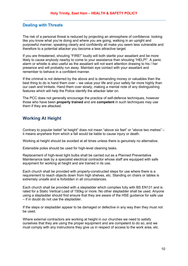#### **Dealing with Threats**

The risk of a personal threat is reduced by projecting an atmosphere of confidence: looking like you know what you're doing and where you are going, walking in an upright and purposeful manner, speaking clearly and confidently all make you seem less vulnerable and therefore to a potential attacker you become a less attractive target.

If you are threatened, shouting "FIRE!" loudly will both startle your assailant and be more likely to cause anybody nearby to come to your assistance than shouting "HELP!". A panic alarm or whistle is also useful as the assailant will not want attention drawing to his / her presence and will probably run away. Maintain eye contact with your assailant and remember to behave in a confident manner.

If the criminal is not deterred by the above and is demanding money or valuables then the best thing to do is hand them over – we value your life and your safety far more highly than our cash and trinkets. Hand them over slowly, making a mental note of any distinguishing features which will help the Police identify the attacker later on.

The PCC does not generally encourage the practice of self-defence techniques, however those who have been **properly trained** and are **competent** in such techniques may use them if they are attacked.

# **Working At Height**

Contrary to popular belief "at height" does not mean "above six feet" or "above two metres" – it means anywhere from which a fall would be liable to cause injury or death.

Working at height should be avoided at all times unless there is genuinely no alternative.

Extensible poles should be used for high-level cleaning tasks.

Replacement of high-level light bulbs shall be carried out as a Planned Preventative Maintenance task by a specialist electrical contractor whose staff are equipped with safe equipment for working at height and are trained in its use.

Each church shall be provided with properly-constructed steps for use where there is a requirement to reach objects down from high shelves, etc. Standing on chairs or tables is extremely unsafe and is forbidden in all circumstances.

Each church shall be provided with a stepladder which complies fully with BS EN131 and is rated for a Static Vertical Load of 150kg or more. No other stepladder shall be used. Anyone using a stepladder should first ensure that they are aware of the HSE guidance for safe use – if in doubt do not use the stepladder.

If the steps or stepladder appear to be damaged or defective in any way then they must not be used.

Where external contractors are working at height in our churches we need to satisfy ourselves that they are using the proper equipment and are competent to do so, and we must comply with any instructions they give us in respect of access to the work area, etc.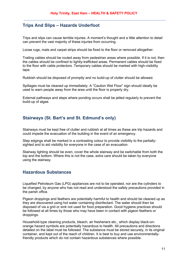# **Trips And Slips – Hazards Underfoot**

Trips and slips can cause terrible injuries. A moment's thought and a little attention to detail can prevent the vast majority of these injuries from occurring.

Loose rugs, mats and carpet strips should be fixed to the floor or removed altogether.

Trailing cables should be routed away from pedestrian areas where possible. If it is not, then the cables should be confined to lightly-trafficked areas. Permanent cables should be fixed to the floor with cable protectors. Temporary cables should be marked with high-visibility tape.

Rubbish should be disposed of promptly and no build-up of clutter should be allowed.

Spillages must be cleaned up immediately. A "Caution Wet Floor" sign should ideally be used to warn people away from the area until the floor is properly dry.

External pathways and steps where ponding occurs shall be jetted regularly to prevent the build-up of algae.

# **Stairways (St. Bart's and St. Edmund's only)**

Stairways must be kept free of clutter and rubbish at all times as these are trip hazards and could impede the evacuation of the building in the event of an emergency.

Step edgings shall be marked in a contrasting colour to provide visibility to the partiallysighted and to aid visibility for everyone in the case of an evacuation.

Stairway lighting should be even, cover the whole stairway and be switchable from both the top and the bottom. Where this is not the case, extra care should be taken by everyone using the stairway.

# **Hazardous Substances**

Liquefied Petroleum Gas (LPG) appliances are not to be operated, nor are the cylinders to be changed, by anyone who has not read and understood the safety precautions provided in the parish office.

Pigeon droppings and feathers are potentially harmful to health and should be cleaned up as they are discovered using hot water containing disinfectant. The water should then be disposed of via a grid or sink not used for food preparation. Good hygiene practices should be followed at all times by those who may have been in contact with pigeon feathers or droppings.

Household-type cleaning products, bleach, air fresheners etc., which display black-onorange hazard symbols are potentially hazardous to health. All precautions and directions detailed on the label must be followed. The substance must be stored securely, in its original container, and kept out of the reach of children. It is best to buy and use environmentallyfriendly products which do not contain hazardous substances where possible.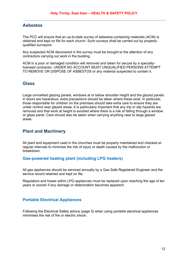# **Asbestos**

The PCC will ensure that an up-to-date survey of asbestos-containing materials (ACM) is obtained and kept on file for each church. Such surveys shall be carried out by properlyqualified surveyors.

Any suspected ACM discovered in the survey must be brought to the attention of any contractors carrying out work in the building.

ACM in a poor or damaged condition will removed and taken for secure by a speciallylicensed contractor. UNDER NO ACCOUNT MUST UNQUALIFIED PERSONS ATTEMPT TO REMOVE OR DISPOSE OF ASBESTOS or any material suspected to contain it.

# **Glass**

Large unmarked glazing panels, windows at or below shoulder height and the glazed panels in doors are hazardous; extra precautions should be taken where these exist. In particular, those responsible for children on the premises should take extra care to ensure they are under control near glazed areas. It is particularly important that any trip or slip hazards are removed and that work at height is avoided where there is a risk of falling through a window or glass panel. Care should also be taken when carrying anything near to large glazed areas.

# **Plant and Machinery**

All plant and equipment used in the churches must be properly maintained and checked at regular intervals to minimise the risk of injury or death caused by the malfunction or breakdown.

#### **Gas-powered heating plant (including LPG heaters)**

All gas appliances should be serviced annually by a Gas Safe Registered Engineer and the service record retained and kept on file.

Regulators and hoses within LPG appliances must be replaced upon reaching the age of ten years or sooner if any damage or deterioration becomes apparent.

#### **Portable Electrical Appliances**

Following the Electrical Safety advice (page 5) when using portable electrical appliances minimises the risk of fire or electric shock.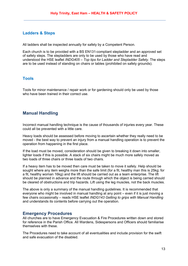#### **Ladders & Steps**

All ladders shall be inspected annually for safety by a Competent Person.

Each church is to be provided with a BS EN131-compliant stepladder and an approved set of safety steps. The stepladders are only to be used by those who have read and understood the HSE leaflet *INDG405 – Top tips for Ladder and Stepladder Safety*. The steps are to be used instead of standing on chairs or tables (prohibited on safety grounds).

#### **Tools**

Tools for minor maintenance / repair work or for gardening should only be used by those who have been trained in their correct use.

# **Manual Handling**

Incorrect manual handling technique is the cause of thousands of injuries every year. These could all be prevented with a little care.

Heavy loads should be assessed before moving to ascertain whether they really need to be moved - the best way to prevent an injury from a manual handling operation is to prevent the operation from happening in the first place.

If the load must be moved, consideration should be given to breaking it down into smaller, lighter loads if this is possible. A stack of six chairs might be much more safely moved as two loads of three chairs or three loads of two chairs.

If a heavy item has to be moved then care must be taken to move it safely. Help should be sought where any item weighs more than the safe limit (for a fit, healthy man this is 25kg; for a fit, healthy woman 16kg) and the lift should be carried out as a team enterprise. The lift should be planned in advance and the route through which the object is being carried should be cleared of obstructions and trip hazards. Lift using the leg muscles, not the back muscles.

The above is only a summary of the manual handling guidelines. It is recommended that everyone who might be involved in manual handling at any point – even if it is just moving a few chairs occasionally – reads HSE leaflet *INDG143 Getting to grips with Manual Handling* and understands its contents before carrying out the operation.

# **Emergency Procedures**

All churches are to have Emergency Evacuation & Fire Procedures written down and stored for reference in the Parish Office. All Wardens, Sidespersons and Officers should familiarise themselves with these.

The Procedures need to take account of all eventualities and include provision for the swift and safe evacuation of the disabled.